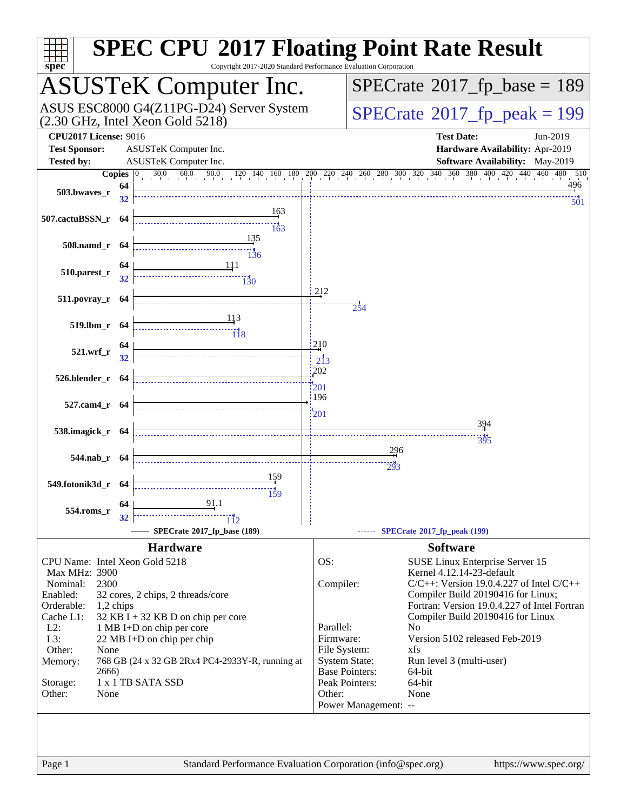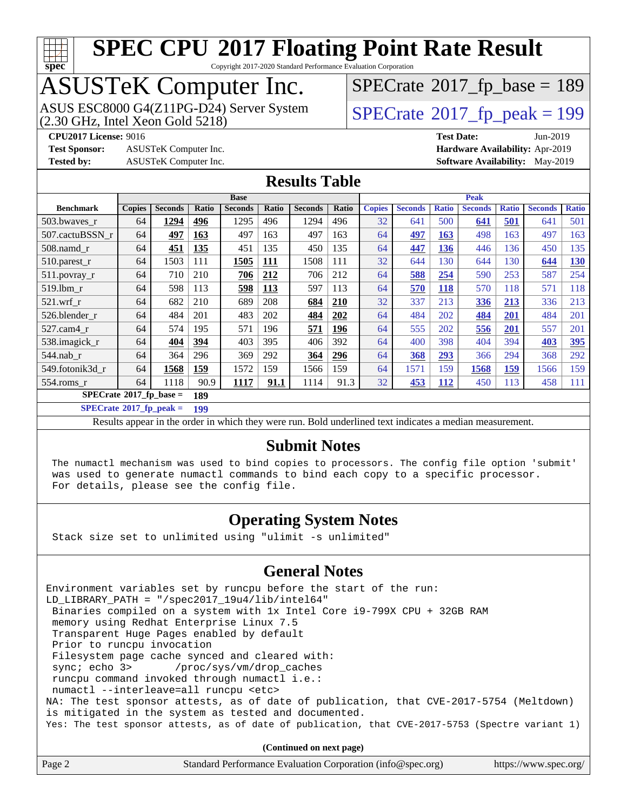

Copyright 2017-2020 Standard Performance Evaluation Corporation

# ASUSTeK Computer Inc.<br>ASUS ESC8000 G4(Z11PG-D24) Server System

(2.30 GHz, Intel Xeon Gold 5218)

 $SPECrate$ <sup>®</sup>[2017\\_fp\\_base =](http://www.spec.org/auto/cpu2017/Docs/result-fields.html#SPECrate2017fpbase) 189

**[Test Sponsor:](http://www.spec.org/auto/cpu2017/Docs/result-fields.html#TestSponsor)** ASUSTeK Computer Inc. **[Hardware Availability:](http://www.spec.org/auto/cpu2017/Docs/result-fields.html#HardwareAvailability)** Apr-2019

 $SPECTate<sup>®</sup>2017_fp_peak = 199$  $SPECTate<sup>®</sup>2017_fp_peak = 199$  $SPECTate<sup>®</sup>2017_fp_peak = 199$ **[CPU2017 License:](http://www.spec.org/auto/cpu2017/Docs/result-fields.html#CPU2017License)** 9016 **[Test Date:](http://www.spec.org/auto/cpu2017/Docs/result-fields.html#TestDate)** Jun-2019

**[Tested by:](http://www.spec.org/auto/cpu2017/Docs/result-fields.html#Testedby)** ASUSTeK Computer Inc. **[Software Availability:](http://www.spec.org/auto/cpu2017/Docs/result-fields.html#SoftwareAvailability)** May-2019

#### **[Results Table](http://www.spec.org/auto/cpu2017/Docs/result-fields.html#ResultsTable)**

|                                         | <b>Base</b>   |                |       |                | <b>Peak</b> |                |            |               |                |              |                |              |                |              |
|-----------------------------------------|---------------|----------------|-------|----------------|-------------|----------------|------------|---------------|----------------|--------------|----------------|--------------|----------------|--------------|
| <b>Benchmark</b>                        | <b>Copies</b> | <b>Seconds</b> | Ratio | <b>Seconds</b> | Ratio       | <b>Seconds</b> | Ratio      | <b>Copies</b> | <b>Seconds</b> | <b>Ratio</b> | <b>Seconds</b> | <b>Ratio</b> | <b>Seconds</b> | <b>Ratio</b> |
| 503.bwayes r                            | 64            | 1294           | 496   | 1295           | 496         | 1294           | 496        | 32            | 641            | 500          | 641            | 501          | 641            | 501          |
| 507.cactuBSSN r                         | 64            | 497            | 163   | 497            | 163         | 497            | 163        | 64            | <u>497</u>     | 163          | 498            | 163          | 497            | 163          |
| $508$ .namd $r$                         | 64            | 451            | 135   | 451            | 135         | 450            | 135        | 64            | 447            | 136          | 446            | 136          | 450            | 135          |
| $510.parest_r$                          | 64            | 1503           | 111   | 1505           | 111         | 1508           | 111        | 32            | 644            | 130          | 644            | 130          | 644            | <u>130</u>   |
| $511.$ povray_r                         | 64            | 710            | 210   | 706            | 212         | 706            | 212        | 64            | 588            | 254          | 590            | 253          | 587            | 254          |
| 519.lbm r                               | 64            | 598            | 113   | 598            | 113         | 597            | 113        | 64            | 570            | 118          | 570            | 118          | 571            | 118          |
| $521.wrf_r$                             | 64            | 682            | 210   | 689            | 208         | 684            | <b>210</b> | 32            | 337            | 213          | 336            | 213          | 336            | 213          |
| 526.blender r                           | 64            | 484            | 201   | 483            | 202         | 484            | 202        | 64            | 484            | 202          | 484            | 201          | 484            | 201          |
| $527.cam4_r$                            | 64            | 574            | 195   | 571            | 196         | 571            | 196        | 64            | 555            | 202          | 556            | 201          | 557            | 201          |
| 538.imagick_r                           | 64            | 404            | 394   | 403            | 395         | 406            | 392        | 64            | 400            | 398          | 404            | 394          | 403            | 395          |
| $544$ .nab_r                            | 64            | 364            | 296   | 369            | 292         | 364            | 296        | 64            | 368            | 293          | 366            | 294          | 368            | 292          |
| 549.fotonik3d r                         | 64            | 1568           | 159   | 1572           | 159         | 1566           | 159        | 64            | 1571           | 159          | 1568           | 159          | 1566           | 159          |
| 554.roms r                              | 64            | 1118           | 90.9  | 1117           | 91.1        | 1114           | 91.3       | 32            | 453            | 112          | 450            | 113          | 458            | 111          |
| $SPECrate^{\circ}2017$ fp base =<br>189 |               |                |       |                |             |                |            |               |                |              |                |              |                |              |

**[SPECrate](http://www.spec.org/auto/cpu2017/Docs/result-fields.html#SPECrate2017fppeak)[2017\\_fp\\_peak =](http://www.spec.org/auto/cpu2017/Docs/result-fields.html#SPECrate2017fppeak) 199**

Results appear in the [order in which they were run.](http://www.spec.org/auto/cpu2017/Docs/result-fields.html#RunOrder) Bold underlined text [indicates a median measurement.](http://www.spec.org/auto/cpu2017/Docs/result-fields.html#Median)

#### **[Submit Notes](http://www.spec.org/auto/cpu2017/Docs/result-fields.html#SubmitNotes)**

 The numactl mechanism was used to bind copies to processors. The config file option 'submit' was used to generate numactl commands to bind each copy to a specific processor. For details, please see the config file.

#### **[Operating System Notes](http://www.spec.org/auto/cpu2017/Docs/result-fields.html#OperatingSystemNotes)**

Stack size set to unlimited using "ulimit -s unlimited"

#### **[General Notes](http://www.spec.org/auto/cpu2017/Docs/result-fields.html#GeneralNotes)**

Environment variables set by runcpu before the start of the run: LD\_LIBRARY\_PATH = "/spec2017\_19u4/lib/intel64" Binaries compiled on a system with 1x Intel Core i9-799X CPU + 32GB RAM memory using Redhat Enterprise Linux 7.5 Transparent Huge Pages enabled by default Prior to runcpu invocation Filesystem page cache synced and cleared with: sync; echo 3> /proc/sys/vm/drop\_caches runcpu command invoked through numactl i.e.: numactl --interleave=all runcpu <etc> NA: The test sponsor attests, as of date of publication, that CVE-2017-5754 (Meltdown) is mitigated in the system as tested and documented. Yes: The test sponsor attests, as of date of publication, that CVE-2017-5753 (Spectre variant 1)

**(Continued on next page)**

| Page 2 | Standard Performance Evaluation Corporation (info@spec.org) | https://www.spec.org/ |
|--------|-------------------------------------------------------------|-----------------------|
|--------|-------------------------------------------------------------|-----------------------|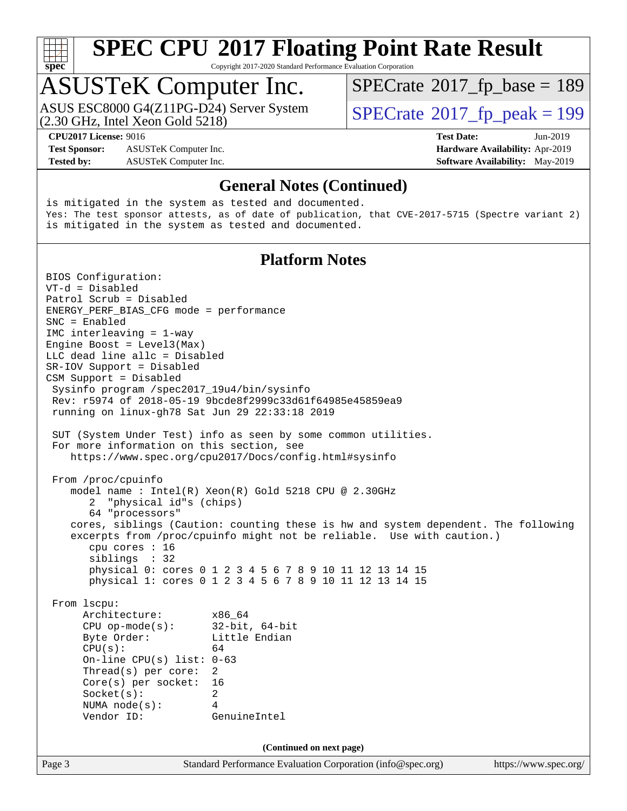

Copyright 2017-2020 Standard Performance Evaluation Corporation

### ASUSTeK Computer Inc.

(2.30 GHz, Intel Xeon Gold 5218) ASUS ESC8000 G4(Z11PG-D24) Server System  $\vert$  [SPECrate](http://www.spec.org/auto/cpu2017/Docs/result-fields.html#SPECrate2017fppeak)®[2017\\_fp\\_peak = 1](http://www.spec.org/auto/cpu2017/Docs/result-fields.html#SPECrate2017fppeak)99

 $SPECTate$ <sup>®</sup>[2017\\_fp\\_base =](http://www.spec.org/auto/cpu2017/Docs/result-fields.html#SPECrate2017fpbase) 189

**[Test Sponsor:](http://www.spec.org/auto/cpu2017/Docs/result-fields.html#TestSponsor)** ASUSTeK Computer Inc. **[Hardware Availability:](http://www.spec.org/auto/cpu2017/Docs/result-fields.html#HardwareAvailability)** Apr-2019 **[Tested by:](http://www.spec.org/auto/cpu2017/Docs/result-fields.html#Testedby)** ASUSTeK Computer Inc. **[Software Availability:](http://www.spec.org/auto/cpu2017/Docs/result-fields.html#SoftwareAvailability)** May-2019

**[CPU2017 License:](http://www.spec.org/auto/cpu2017/Docs/result-fields.html#CPU2017License)** 9016 **[Test Date:](http://www.spec.org/auto/cpu2017/Docs/result-fields.html#TestDate)** Jun-2019

#### **[General Notes \(Continued\)](http://www.spec.org/auto/cpu2017/Docs/result-fields.html#GeneralNotes)**

is mitigated in the system as tested and documented. Yes: The test sponsor attests, as of date of publication, that CVE-2017-5715 (Spectre variant 2) is mitigated in the system as tested and documented.

#### **[Platform Notes](http://www.spec.org/auto/cpu2017/Docs/result-fields.html#PlatformNotes)**

Page 3 Standard Performance Evaluation Corporation [\(info@spec.org\)](mailto:info@spec.org) <https://www.spec.org/> BIOS Configuration: VT-d = Disabled Patrol Scrub = Disabled ENERGY\_PERF\_BIAS\_CFG mode = performance SNC = Enabled IMC interleaving = 1-way Engine Boost =  $Level3(Max)$ LLC dead line allc = Disabled SR-IOV Support = Disabled CSM Support = Disabled Sysinfo program /spec2017\_19u4/bin/sysinfo Rev: r5974 of 2018-05-19 9bcde8f2999c33d61f64985e45859ea9 running on linux-gh78 Sat Jun 29 22:33:18 2019 SUT (System Under Test) info as seen by some common utilities. For more information on this section, see <https://www.spec.org/cpu2017/Docs/config.html#sysinfo> From /proc/cpuinfo model name : Intel(R) Xeon(R) Gold 5218 CPU @ 2.30GHz 2 "physical id"s (chips) 64 "processors" cores, siblings (Caution: counting these is hw and system dependent. The following excerpts from /proc/cpuinfo might not be reliable. Use with caution.) cpu cores : 16 siblings : 32 physical 0: cores 0 1 2 3 4 5 6 7 8 9 10 11 12 13 14 15 physical 1: cores 0 1 2 3 4 5 6 7 8 9 10 11 12 13 14 15 From lscpu: Architecture: x86\_64 CPU op-mode(s): 32-bit, 64-bit Byte Order: Little Endian  $CPU(s):$  64 On-line CPU(s) list: 0-63 Thread(s) per core: 2 Core(s) per socket: 16 Socket(s): 2 NUMA node(s): 4 Vendor ID: GenuineIntel **(Continued on next page)**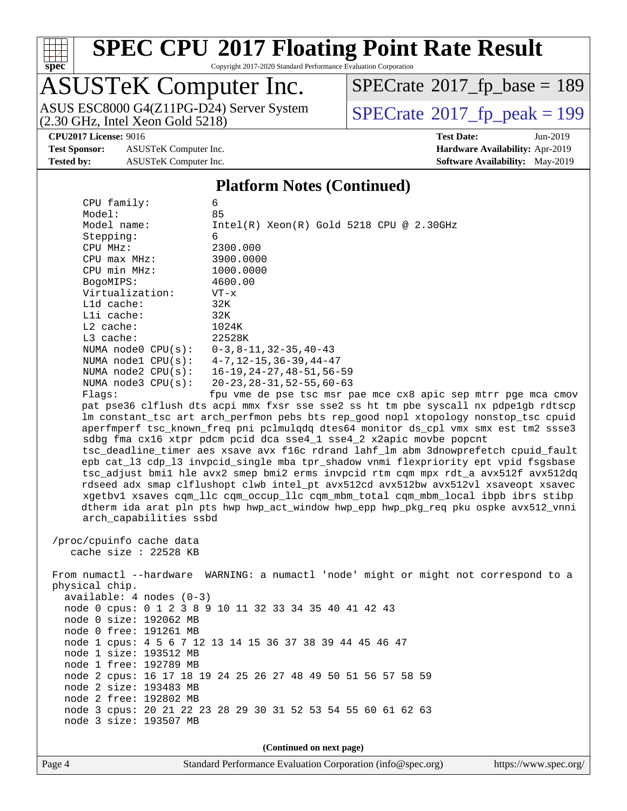

Copyright 2017-2020 Standard Performance Evaluation Corporation

# ASUSTeK Computer Inc.<br>ASUS ESC8000 G4(Z11PG-D24) Server System

(2.30 GHz, Intel Xeon Gold 5218)

 $SPECrate$ <sup>®</sup>[2017\\_fp\\_base =](http://www.spec.org/auto/cpu2017/Docs/result-fields.html#SPECrate2017fpbase) 189

**[Test Sponsor:](http://www.spec.org/auto/cpu2017/Docs/result-fields.html#TestSponsor)** ASUSTeK Computer Inc. **[Hardware Availability:](http://www.spec.org/auto/cpu2017/Docs/result-fields.html#HardwareAvailability)** Apr-2019 **[Tested by:](http://www.spec.org/auto/cpu2017/Docs/result-fields.html#Testedby)** ASUSTeK Computer Inc. **[Software Availability:](http://www.spec.org/auto/cpu2017/Docs/result-fields.html#SoftwareAvailability)** May-2019

 $SPECTate@2017_fp\_peak = 199$ 

**[CPU2017 License:](http://www.spec.org/auto/cpu2017/Docs/result-fields.html#CPU2017License)** 9016 **[Test Date:](http://www.spec.org/auto/cpu2017/Docs/result-fields.html#TestDate)** Jun-2019

#### **[Platform Notes \(Continued\)](http://www.spec.org/auto/cpu2017/Docs/result-fields.html#PlatformNotes)**

| CPU family:                                                                                                                                                               | 6                                                                                                                                                                          |  |  |  |  |  |  |  |
|---------------------------------------------------------------------------------------------------------------------------------------------------------------------------|----------------------------------------------------------------------------------------------------------------------------------------------------------------------------|--|--|--|--|--|--|--|
| Model:                                                                                                                                                                    | 85                                                                                                                                                                         |  |  |  |  |  |  |  |
| Model name:                                                                                                                                                               | $Intel(R) Xeon(R) Gold 5218 CPU @ 2.30GHz$                                                                                                                                 |  |  |  |  |  |  |  |
| Stepping:                                                                                                                                                                 | 6                                                                                                                                                                          |  |  |  |  |  |  |  |
| CPU MHz:                                                                                                                                                                  | 2300.000                                                                                                                                                                   |  |  |  |  |  |  |  |
| CPU max MHz:                                                                                                                                                              | 3900.0000                                                                                                                                                                  |  |  |  |  |  |  |  |
| CPU min MHz:                                                                                                                                                              | 1000.0000                                                                                                                                                                  |  |  |  |  |  |  |  |
| BogoMIPS:                                                                                                                                                                 | 4600.00                                                                                                                                                                    |  |  |  |  |  |  |  |
| Virtualization:                                                                                                                                                           | $VT - x$                                                                                                                                                                   |  |  |  |  |  |  |  |
| L1d cache:                                                                                                                                                                | 32K                                                                                                                                                                        |  |  |  |  |  |  |  |
| Lli cache:                                                                                                                                                                | 32K                                                                                                                                                                        |  |  |  |  |  |  |  |
| $L2$ cache:                                                                                                                                                               | 1024K                                                                                                                                                                      |  |  |  |  |  |  |  |
| L3 cache:                                                                                                                                                                 | 22528K                                                                                                                                                                     |  |  |  |  |  |  |  |
| NUMA $node0$ $CPU(s)$ :                                                                                                                                                   | 0-3,8-11,32-35,40-43                                                                                                                                                       |  |  |  |  |  |  |  |
| NUMA $node1$ $CPU(s):$                                                                                                                                                    | 4-7,12-15,36-39,44-47                                                                                                                                                      |  |  |  |  |  |  |  |
| NUMA $node2$ $CPU(s):$                                                                                                                                                    | $16 - 19, 24 - 27, 48 - 51, 56 - 59$                                                                                                                                       |  |  |  |  |  |  |  |
| NUMA $node3$ $CPU(s):$                                                                                                                                                    | $20 - 23, 28 - 31, 52 - 55, 60 - 63$                                                                                                                                       |  |  |  |  |  |  |  |
| Flags:                                                                                                                                                                    | fpu vme de pse tsc msr pae mce cx8 apic sep mtrr pge mca cmov                                                                                                              |  |  |  |  |  |  |  |
|                                                                                                                                                                           | pat pse36 clflush dts acpi mmx fxsr sse sse2 ss ht tm pbe syscall nx pdpelgb rdtscp<br>Im constant tsc art arch perfmon pebs bts rep good nopl xtopology nonstop tsc cpuid |  |  |  |  |  |  |  |
|                                                                                                                                                                           |                                                                                                                                                                            |  |  |  |  |  |  |  |
|                                                                                                                                                                           | aperfmperf tsc_known_freq pni pclmulqdq dtes64 monitor ds_cpl vmx smx est tm2 ssse3                                                                                        |  |  |  |  |  |  |  |
|                                                                                                                                                                           | sdbg fma cx16 xtpr pdcm pcid dca sse4_1 sse4_2 x2apic movbe popcnt<br>tsc_deadline_timer aes xsave avx f16c rdrand lahf_lm abm 3dnowprefetch cpuid_fault                   |  |  |  |  |  |  |  |
|                                                                                                                                                                           |                                                                                                                                                                            |  |  |  |  |  |  |  |
|                                                                                                                                                                           | epb cat_13 cdp_13 invpcid_single mba tpr_shadow vnmi flexpriority ept vpid fsgsbase                                                                                        |  |  |  |  |  |  |  |
| tsc_adjust bmil hle avx2 smep bmi2 erms invpcid rtm cqm mpx rdt_a avx512f avx512dq<br>rdseed adx smap clflushopt clwb intel_pt avx512cd avx512bw avx512vl xsaveopt xsavec |                                                                                                                                                                            |  |  |  |  |  |  |  |
| xgetbvl xsaves cqm_llc cqm_occup_llc cqm_mbm_total cqm_mbm_local ibpb ibrs stibp                                                                                          |                                                                                                                                                                            |  |  |  |  |  |  |  |
| dtherm ida arat pln pts hwp hwp_act_window hwp_epp hwp_pkg_req pku ospke avx512_vnni                                                                                      |                                                                                                                                                                            |  |  |  |  |  |  |  |
| arch_capabilities ssbd                                                                                                                                                    |                                                                                                                                                                            |  |  |  |  |  |  |  |
|                                                                                                                                                                           |                                                                                                                                                                            |  |  |  |  |  |  |  |
| /proc/cpuinfo cache data                                                                                                                                                  |                                                                                                                                                                            |  |  |  |  |  |  |  |
| cache size : 22528 KB                                                                                                                                                     |                                                                                                                                                                            |  |  |  |  |  |  |  |
|                                                                                                                                                                           |                                                                                                                                                                            |  |  |  |  |  |  |  |
| From numactl --hardware WARNING: a numactl 'node' might or might not correspond to a                                                                                      |                                                                                                                                                                            |  |  |  |  |  |  |  |
| physical chip.                                                                                                                                                            |                                                                                                                                                                            |  |  |  |  |  |  |  |
| $available: 4 nodes (0-3)$                                                                                                                                                |                                                                                                                                                                            |  |  |  |  |  |  |  |
|                                                                                                                                                                           | node 0 cpus: 0 1 2 3 8 9 10 11 32 33 34 35 40 41 42 43                                                                                                                     |  |  |  |  |  |  |  |
| node 0 size: 192062 MB                                                                                                                                                    |                                                                                                                                                                            |  |  |  |  |  |  |  |
| node 0 free: 191261 MB                                                                                                                                                    |                                                                                                                                                                            |  |  |  |  |  |  |  |
|                                                                                                                                                                           | node 1 cpus: 4 5 6 7 12 13 14 15 36 37 38 39 44 45 46 47                                                                                                                   |  |  |  |  |  |  |  |
| node 1 size: 193512 MB                                                                                                                                                    |                                                                                                                                                                            |  |  |  |  |  |  |  |
| node 1 free: 192789 MB                                                                                                                                                    |                                                                                                                                                                            |  |  |  |  |  |  |  |
|                                                                                                                                                                           | node 2 cpus: 16 17 18 19 24 25 26 27 48 49 50 51 56 57 58 59                                                                                                               |  |  |  |  |  |  |  |
| node 2 size: 193483 MB                                                                                                                                                    |                                                                                                                                                                            |  |  |  |  |  |  |  |
| node 2 free: 192802 MB                                                                                                                                                    |                                                                                                                                                                            |  |  |  |  |  |  |  |
|                                                                                                                                                                           | node 3 cpus: 20 21 22 23 28 29 30 31 52 53 54 55 60 61 62 63                                                                                                               |  |  |  |  |  |  |  |
| node 3 size: 193507 MB                                                                                                                                                    |                                                                                                                                                                            |  |  |  |  |  |  |  |
|                                                                                                                                                                           |                                                                                                                                                                            |  |  |  |  |  |  |  |
| (Continued on next page)                                                                                                                                                  |                                                                                                                                                                            |  |  |  |  |  |  |  |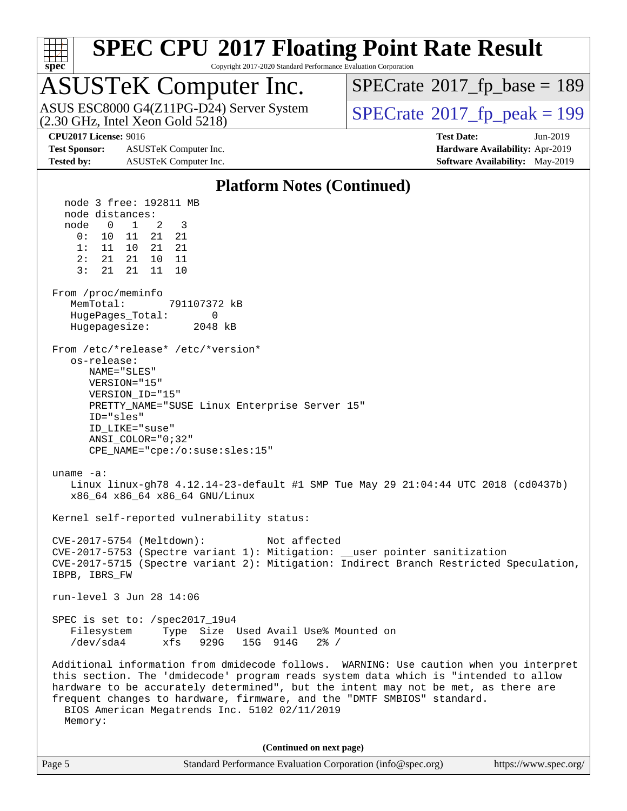

Copyright 2017-2020 Standard Performance Evaluation Corporation

# ASUSTeK Computer Inc.<br>ASUS ESC8000 G4(Z11PG-D24) Server System

(2.30 GHz, Intel Xeon Gold 5218)

 $SPECrate$ <sup>®</sup>[2017\\_fp\\_base =](http://www.spec.org/auto/cpu2017/Docs/result-fields.html#SPECrate2017fpbase) 189

 $SPECTate<sup>®</sup>2017_fp_peak = 199$  $SPECTate<sup>®</sup>2017_fp_peak = 199$  $SPECTate<sup>®</sup>2017_fp_peak = 199$ 

**[Test Sponsor:](http://www.spec.org/auto/cpu2017/Docs/result-fields.html#TestSponsor)** ASUSTeK Computer Inc. **[Hardware Availability:](http://www.spec.org/auto/cpu2017/Docs/result-fields.html#HardwareAvailability)** Apr-2019 **[Tested by:](http://www.spec.org/auto/cpu2017/Docs/result-fields.html#Testedby)** ASUSTeK Computer Inc. **[Software Availability:](http://www.spec.org/auto/cpu2017/Docs/result-fields.html#SoftwareAvailability)** May-2019

**[CPU2017 License:](http://www.spec.org/auto/cpu2017/Docs/result-fields.html#CPU2017License)** 9016 **[Test Date:](http://www.spec.org/auto/cpu2017/Docs/result-fields.html#TestDate)** Jun-2019

#### **[Platform Notes \(Continued\)](http://www.spec.org/auto/cpu2017/Docs/result-fields.html#PlatformNotes)** node 3 free: 192811 MB node distances: node 0 1 2 3 0: 10 11 21 21 1: 11 10 21 21 2: 21 21 10 11 3: 21 21 11 10 From /proc/meminfo MemTotal: 791107372 kB HugePages\_Total: 0 Hugepagesize: 2048 kB From /etc/\*release\* /etc/\*version\* os-release: NAME="SLES" VERSION="15" VERSION\_ID="15" PRETTY\_NAME="SUSE Linux Enterprise Server 15" ID="sles" ID\_LIKE="suse" ANSI\_COLOR="0;32" CPE\_NAME="cpe:/o:suse:sles:15" uname -a: Linux linux-gh78 4.12.14-23-default #1 SMP Tue May 29 21:04:44 UTC 2018 (cd0437b) x86\_64 x86\_64 x86\_64 GNU/Linux Kernel self-reported vulnerability status: CVE-2017-5754 (Meltdown): Not affected CVE-2017-5753 (Spectre variant 1): Mitigation: \_\_user pointer sanitization CVE-2017-5715 (Spectre variant 2): Mitigation: Indirect Branch Restricted Speculation, IBPB, IBRS\_FW run-level 3 Jun 28 14:06 SPEC is set to: /spec2017\_19u4 Filesystem Type Size Used Avail Use% Mounted on /dev/sda4 xfs 929G 15G 914G 2% / Additional information from dmidecode follows. WARNING: Use caution when you interpret this section. The 'dmidecode' program reads system data which is "intended to allow hardware to be accurately determined", but the intent may not be met, as there are frequent changes to hardware, firmware, and the "DMTF SMBIOS" standard. BIOS American Megatrends Inc. 5102 02/11/2019 Memory: **(Continued on next page)**

| Page 5 | Standard Performance Evaluation Corporation (info@spec.org) | https://www.spec.org/ |
|--------|-------------------------------------------------------------|-----------------------|
|        |                                                             |                       |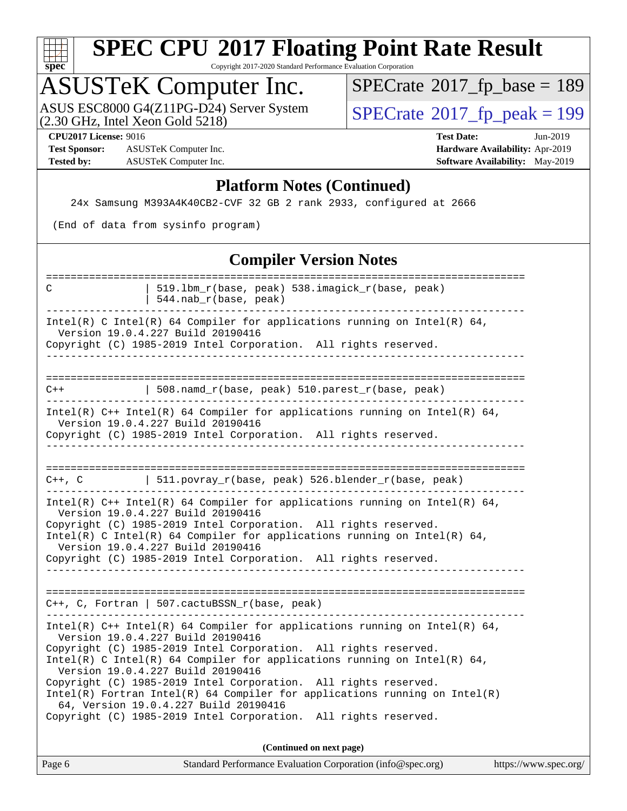

Copyright 2017-2020 Standard Performance Evaluation Corporation

### ASUSTeK Computer Inc.

(2.30 GHz, Intel Xeon Gold 5218) ASUS ESC8000 G4(Z11PG-D24) Server System  $\sqrt{SPECrate^{\circ}2017\_fp\_peak} = 199$  $\sqrt{SPECrate^{\circ}2017\_fp\_peak} = 199$  $\sqrt{SPECrate^{\circ}2017\_fp\_peak} = 199$ 

 $SPECrate$ <sup>®</sup>[2017\\_fp\\_base =](http://www.spec.org/auto/cpu2017/Docs/result-fields.html#SPECrate2017fpbase) 189

**[Test Sponsor:](http://www.spec.org/auto/cpu2017/Docs/result-fields.html#TestSponsor)** ASUSTeK Computer Inc. **[Hardware Availability:](http://www.spec.org/auto/cpu2017/Docs/result-fields.html#HardwareAvailability)** Apr-2019 **[Tested by:](http://www.spec.org/auto/cpu2017/Docs/result-fields.html#Testedby)** ASUSTeK Computer Inc. **[Software Availability:](http://www.spec.org/auto/cpu2017/Docs/result-fields.html#SoftwareAvailability)** May-2019

**[CPU2017 License:](http://www.spec.org/auto/cpu2017/Docs/result-fields.html#CPU2017License)** 9016 **[Test Date:](http://www.spec.org/auto/cpu2017/Docs/result-fields.html#TestDate)** Jun-2019

#### **[Platform Notes \(Continued\)](http://www.spec.org/auto/cpu2017/Docs/result-fields.html#PlatformNotes)**

24x Samsung M393A4K40CB2-CVF 32 GB 2 rank 2933, configured at 2666

(End of data from sysinfo program)

#### **[Compiler Version Notes](http://www.spec.org/auto/cpu2017/Docs/result-fields.html#CompilerVersionNotes)**

| C                                                                                                                                                                                                                                                                                                                                                                                                                                                                                                                                                                                                           | 519.1bm_r(base, peak) 538.imagick_r(base, peak)<br>544.nab_r(base, peak) |  |  |  |  |  |  |
|-------------------------------------------------------------------------------------------------------------------------------------------------------------------------------------------------------------------------------------------------------------------------------------------------------------------------------------------------------------------------------------------------------------------------------------------------------------------------------------------------------------------------------------------------------------------------------------------------------------|--------------------------------------------------------------------------|--|--|--|--|--|--|
| Intel(R) C Intel(R) 64 Compiler for applications running on Intel(R) 64,<br>Version 19.0.4.227 Build 20190416                                                                                                                                                                                                                                                                                                                                                                                                                                                                                               |                                                                          |  |  |  |  |  |  |
| Copyright (C) 1985-2019 Intel Corporation. All rights reserved.<br>______________________________________                                                                                                                                                                                                                                                                                                                                                                                                                                                                                                   |                                                                          |  |  |  |  |  |  |
|                                                                                                                                                                                                                                                                                                                                                                                                                                                                                                                                                                                                             |                                                                          |  |  |  |  |  |  |
| $C++$                                                                                                                                                                                                                                                                                                                                                                                                                                                                                                                                                                                                       | 508.namd_r(base, peak) 510.parest_r(base, peak)                          |  |  |  |  |  |  |
| Intel(R) $C++$ Intel(R) 64 Compiler for applications running on Intel(R) 64,<br>Version 19.0.4.227 Build 20190416<br>Copyright (C) 1985-2019 Intel Corporation. All rights reserved.                                                                                                                                                                                                                                                                                                                                                                                                                        |                                                                          |  |  |  |  |  |  |
|                                                                                                                                                                                                                                                                                                                                                                                                                                                                                                                                                                                                             |                                                                          |  |  |  |  |  |  |
|                                                                                                                                                                                                                                                                                                                                                                                                                                                                                                                                                                                                             | C++, C 		   511.povray_r(base, peak) 526.blender_r(base, peak)           |  |  |  |  |  |  |
| Intel(R) $C++$ Intel(R) 64 Compiler for applications running on Intel(R) 64,<br>Version 19.0.4.227 Build 20190416<br>Copyright (C) 1985-2019 Intel Corporation. All rights reserved.<br>Intel(R) C Intel(R) 64 Compiler for applications running on Intel(R) 64,<br>Version 19.0.4.227 Build 20190416<br>Copyright (C) 1985-2019 Intel Corporation. All rights reserved.                                                                                                                                                                                                                                    |                                                                          |  |  |  |  |  |  |
| C++, C, Fortran   507.cactuBSSN_r(base, peak)                                                                                                                                                                                                                                                                                                                                                                                                                                                                                                                                                               |                                                                          |  |  |  |  |  |  |
| -----------------------------------<br>Intel(R) $C++$ Intel(R) 64 Compiler for applications running on Intel(R) 64,<br>Version 19.0.4.227 Build 20190416<br>Copyright (C) 1985-2019 Intel Corporation. All rights reserved.<br>Intel(R) C Intel(R) 64 Compiler for applications running on Intel(R) 64,<br>Version 19.0.4.227 Build 20190416<br>Copyright (C) 1985-2019 Intel Corporation. All rights reserved.<br>$Intel(R)$ Fortran Intel(R) 64 Compiler for applications running on Intel(R)<br>64, Version 19.0.4.227 Build 20190416<br>Copyright (C) 1985-2019 Intel Corporation. All rights reserved. |                                                                          |  |  |  |  |  |  |
| (Continued on next page)                                                                                                                                                                                                                                                                                                                                                                                                                                                                                                                                                                                    |                                                                          |  |  |  |  |  |  |
|                                                                                                                                                                                                                                                                                                                                                                                                                                                                                                                                                                                                             |                                                                          |  |  |  |  |  |  |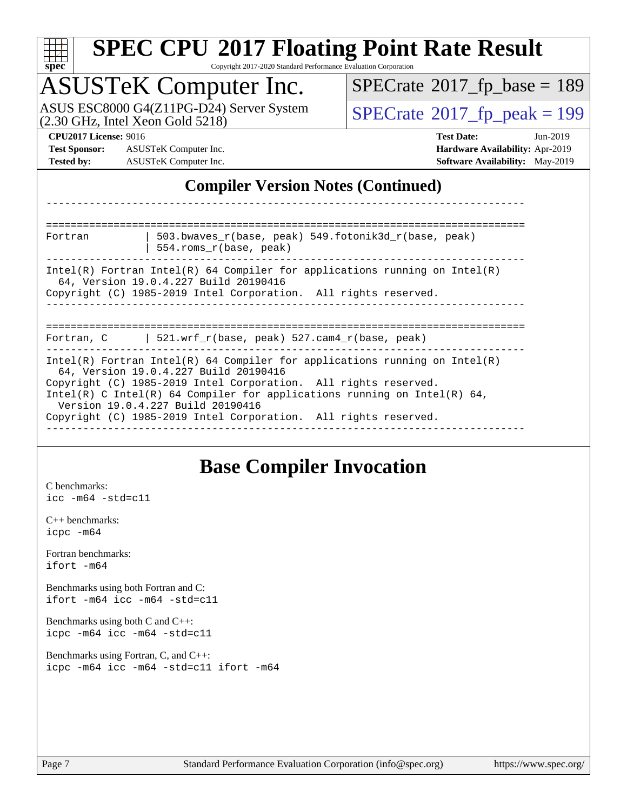| s,<br>æ<br>0<br>Ľ<br>÷ |  |  |  |  |  |  |
|------------------------|--|--|--|--|--|--|

Copyright 2017-2020 Standard Performance Evaluation Corporation

### ASUSTeK Computer Inc.

(2.30 GHz, Intel Xeon Gold 5218) ASUS ESC8000 G4(Z11PG-D24) Server System  $SPECrate@2017_fp\_peak = 199$  $SPECrate@2017_fp\_peak = 199$ 

 $SPECTate$ <sup>®</sup>[2017\\_fp\\_base =](http://www.spec.org/auto/cpu2017/Docs/result-fields.html#SPECrate2017fpbase) 189

**[Test Sponsor:](http://www.spec.org/auto/cpu2017/Docs/result-fields.html#TestSponsor)** ASUSTeK Computer Inc. **[Hardware Availability:](http://www.spec.org/auto/cpu2017/Docs/result-fields.html#HardwareAvailability)** Apr-2019 **[Tested by:](http://www.spec.org/auto/cpu2017/Docs/result-fields.html#Testedby)** ASUSTeK Computer Inc. **[Software Availability:](http://www.spec.org/auto/cpu2017/Docs/result-fields.html#SoftwareAvailability)** May-2019

**[CPU2017 License:](http://www.spec.org/auto/cpu2017/Docs/result-fields.html#CPU2017License)** 9016 **[Test Date:](http://www.spec.org/auto/cpu2017/Docs/result-fields.html#TestDate)** Jun-2019

#### **[Compiler Version Notes \(Continued\)](http://www.spec.org/auto/cpu2017/Docs/result-fields.html#CompilerVersionNotes)**

============================================================================== Fortran | 503.bwaves\_r(base, peak) 549.fotonik3d\_r(base, peak) | 554.roms\_r(base, peak) ------------------------------------------------------------------------------ Intel(R) Fortran Intel(R)  $64$  Compiler for applications running on Intel(R) 64, Version 19.0.4.227 Build 20190416 Copyright (C) 1985-2019 Intel Corporation. All rights reserved. ------------------------------------------------------------------------------ ============================================================================== Fortran, C | 521.wrf\_r(base, peak) 527.cam4\_r(base, peak) ------------------------------------------------------------------------------ Intel(R) Fortran Intel(R) 64 Compiler for applications running on Intel(R) 64, Version 19.0.4.227 Build 20190416 Copyright (C) 1985-2019 Intel Corporation. All rights reserved. Intel(R) C Intel(R) 64 Compiler for applications running on Intel(R) 64, Version 19.0.4.227 Build 20190416 Copyright (C) 1985-2019 Intel Corporation. All rights reserved. ------------------------------------------------------------------------------

------------------------------------------------------------------------------

#### **[Base Compiler Invocation](http://www.spec.org/auto/cpu2017/Docs/result-fields.html#BaseCompilerInvocation)**

[C benchmarks](http://www.spec.org/auto/cpu2017/Docs/result-fields.html#Cbenchmarks): [icc -m64 -std=c11](http://www.spec.org/cpu2017/results/res2019q3/cpu2017-20190722-16298.flags.html#user_CCbase_intel_icc_64bit_c11_33ee0cdaae7deeeab2a9725423ba97205ce30f63b9926c2519791662299b76a0318f32ddfffdc46587804de3178b4f9328c46fa7c2b0cd779d7a61945c91cd35)

[C++ benchmarks:](http://www.spec.org/auto/cpu2017/Docs/result-fields.html#CXXbenchmarks) [icpc -m64](http://www.spec.org/cpu2017/results/res2019q3/cpu2017-20190722-16298.flags.html#user_CXXbase_intel_icpc_64bit_4ecb2543ae3f1412ef961e0650ca070fec7b7afdcd6ed48761b84423119d1bf6bdf5cad15b44d48e7256388bc77273b966e5eb805aefd121eb22e9299b2ec9d9)

[Fortran benchmarks](http://www.spec.org/auto/cpu2017/Docs/result-fields.html#Fortranbenchmarks):  $i$ fort  $-m64$ 

[Benchmarks using both Fortran and C](http://www.spec.org/auto/cpu2017/Docs/result-fields.html#BenchmarksusingbothFortranandC): [ifort -m64](http://www.spec.org/cpu2017/results/res2019q3/cpu2017-20190722-16298.flags.html#user_CC_FCbase_intel_ifort_64bit_24f2bb282fbaeffd6157abe4f878425411749daecae9a33200eee2bee2fe76f3b89351d69a8130dd5949958ce389cf37ff59a95e7a40d588e8d3a57e0c3fd751) [icc -m64 -std=c11](http://www.spec.org/cpu2017/results/res2019q3/cpu2017-20190722-16298.flags.html#user_CC_FCbase_intel_icc_64bit_c11_33ee0cdaae7deeeab2a9725423ba97205ce30f63b9926c2519791662299b76a0318f32ddfffdc46587804de3178b4f9328c46fa7c2b0cd779d7a61945c91cd35)

[Benchmarks using both C and C++](http://www.spec.org/auto/cpu2017/Docs/result-fields.html#BenchmarksusingbothCandCXX): [icpc -m64](http://www.spec.org/cpu2017/results/res2019q3/cpu2017-20190722-16298.flags.html#user_CC_CXXbase_intel_icpc_64bit_4ecb2543ae3f1412ef961e0650ca070fec7b7afdcd6ed48761b84423119d1bf6bdf5cad15b44d48e7256388bc77273b966e5eb805aefd121eb22e9299b2ec9d9) [icc -m64 -std=c11](http://www.spec.org/cpu2017/results/res2019q3/cpu2017-20190722-16298.flags.html#user_CC_CXXbase_intel_icc_64bit_c11_33ee0cdaae7deeeab2a9725423ba97205ce30f63b9926c2519791662299b76a0318f32ddfffdc46587804de3178b4f9328c46fa7c2b0cd779d7a61945c91cd35)

[Benchmarks using Fortran, C, and C++:](http://www.spec.org/auto/cpu2017/Docs/result-fields.html#BenchmarksusingFortranCandCXX) [icpc -m64](http://www.spec.org/cpu2017/results/res2019q3/cpu2017-20190722-16298.flags.html#user_CC_CXX_FCbase_intel_icpc_64bit_4ecb2543ae3f1412ef961e0650ca070fec7b7afdcd6ed48761b84423119d1bf6bdf5cad15b44d48e7256388bc77273b966e5eb805aefd121eb22e9299b2ec9d9) [icc -m64 -std=c11](http://www.spec.org/cpu2017/results/res2019q3/cpu2017-20190722-16298.flags.html#user_CC_CXX_FCbase_intel_icc_64bit_c11_33ee0cdaae7deeeab2a9725423ba97205ce30f63b9926c2519791662299b76a0318f32ddfffdc46587804de3178b4f9328c46fa7c2b0cd779d7a61945c91cd35) [ifort -m64](http://www.spec.org/cpu2017/results/res2019q3/cpu2017-20190722-16298.flags.html#user_CC_CXX_FCbase_intel_ifort_64bit_24f2bb282fbaeffd6157abe4f878425411749daecae9a33200eee2bee2fe76f3b89351d69a8130dd5949958ce389cf37ff59a95e7a40d588e8d3a57e0c3fd751)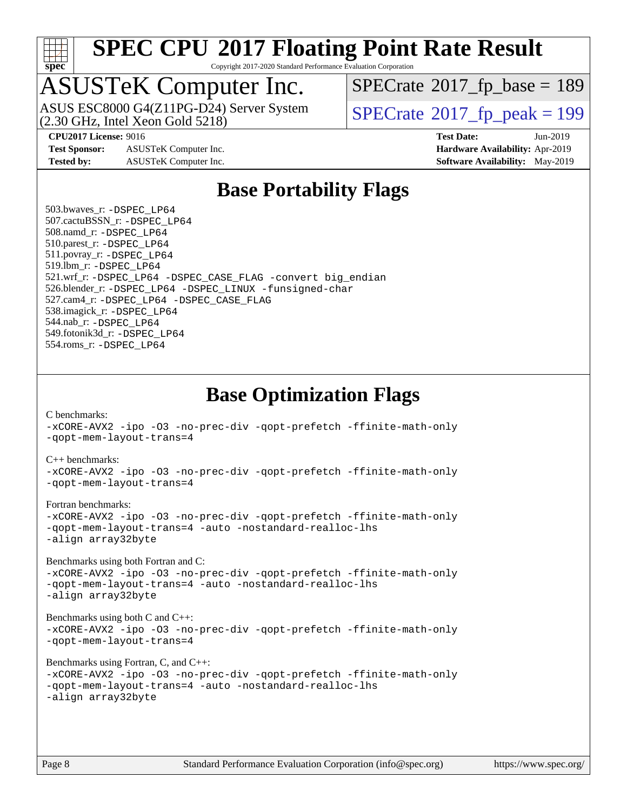

Copyright 2017-2020 Standard Performance Evaluation Corporation

### ASUSTeK Computer Inc.

(2.30 GHz, Intel Xeon Gold 5218) ASUS ESC8000 G4(Z11PG-D24) Server System  $SPECrate@2017_fp\_peak = 199$  $SPECrate@2017_fp\_peak = 199$ 

 $SPECTate$ <sup>®</sup>[2017\\_fp\\_base =](http://www.spec.org/auto/cpu2017/Docs/result-fields.html#SPECrate2017fpbase) 189

**[CPU2017 License:](http://www.spec.org/auto/cpu2017/Docs/result-fields.html#CPU2017License)** 9016 **[Test Date:](http://www.spec.org/auto/cpu2017/Docs/result-fields.html#TestDate)** Jun-2019

**[Test Sponsor:](http://www.spec.org/auto/cpu2017/Docs/result-fields.html#TestSponsor)** ASUSTeK Computer Inc. **[Hardware Availability:](http://www.spec.org/auto/cpu2017/Docs/result-fields.html#HardwareAvailability)** Apr-2019

**[Tested by:](http://www.spec.org/auto/cpu2017/Docs/result-fields.html#Testedby)** ASUSTeK Computer Inc. **[Software Availability:](http://www.spec.org/auto/cpu2017/Docs/result-fields.html#SoftwareAvailability)** May-2019

#### **[Base Portability Flags](http://www.spec.org/auto/cpu2017/Docs/result-fields.html#BasePortabilityFlags)**

 503.bwaves\_r: [-DSPEC\\_LP64](http://www.spec.org/cpu2017/results/res2019q3/cpu2017-20190722-16298.flags.html#suite_basePORTABILITY503_bwaves_r_DSPEC_LP64) 507.cactuBSSN\_r: [-DSPEC\\_LP64](http://www.spec.org/cpu2017/results/res2019q3/cpu2017-20190722-16298.flags.html#suite_basePORTABILITY507_cactuBSSN_r_DSPEC_LP64) 508.namd\_r: [-DSPEC\\_LP64](http://www.spec.org/cpu2017/results/res2019q3/cpu2017-20190722-16298.flags.html#suite_basePORTABILITY508_namd_r_DSPEC_LP64) 510.parest\_r: [-DSPEC\\_LP64](http://www.spec.org/cpu2017/results/res2019q3/cpu2017-20190722-16298.flags.html#suite_basePORTABILITY510_parest_r_DSPEC_LP64) 511.povray\_r: [-DSPEC\\_LP64](http://www.spec.org/cpu2017/results/res2019q3/cpu2017-20190722-16298.flags.html#suite_basePORTABILITY511_povray_r_DSPEC_LP64) 519.lbm\_r: [-DSPEC\\_LP64](http://www.spec.org/cpu2017/results/res2019q3/cpu2017-20190722-16298.flags.html#suite_basePORTABILITY519_lbm_r_DSPEC_LP64) 521.wrf\_r: [-DSPEC\\_LP64](http://www.spec.org/cpu2017/results/res2019q3/cpu2017-20190722-16298.flags.html#suite_basePORTABILITY521_wrf_r_DSPEC_LP64) [-DSPEC\\_CASE\\_FLAG](http://www.spec.org/cpu2017/results/res2019q3/cpu2017-20190722-16298.flags.html#b521.wrf_r_baseCPORTABILITY_DSPEC_CASE_FLAG) [-convert big\\_endian](http://www.spec.org/cpu2017/results/res2019q3/cpu2017-20190722-16298.flags.html#user_baseFPORTABILITY521_wrf_r_convert_big_endian_c3194028bc08c63ac5d04de18c48ce6d347e4e562e8892b8bdbdc0214820426deb8554edfa529a3fb25a586e65a3d812c835984020483e7e73212c4d31a38223) 526.blender\_r: [-DSPEC\\_LP64](http://www.spec.org/cpu2017/results/res2019q3/cpu2017-20190722-16298.flags.html#suite_basePORTABILITY526_blender_r_DSPEC_LP64) [-DSPEC\\_LINUX](http://www.spec.org/cpu2017/results/res2019q3/cpu2017-20190722-16298.flags.html#b526.blender_r_baseCPORTABILITY_DSPEC_LINUX) [-funsigned-char](http://www.spec.org/cpu2017/results/res2019q3/cpu2017-20190722-16298.flags.html#user_baseCPORTABILITY526_blender_r_force_uchar_40c60f00ab013830e2dd6774aeded3ff59883ba5a1fc5fc14077f794d777847726e2a5858cbc7672e36e1b067e7e5c1d9a74f7176df07886a243d7cc18edfe67) 527.cam4\_r: [-DSPEC\\_LP64](http://www.spec.org/cpu2017/results/res2019q3/cpu2017-20190722-16298.flags.html#suite_basePORTABILITY527_cam4_r_DSPEC_LP64) [-DSPEC\\_CASE\\_FLAG](http://www.spec.org/cpu2017/results/res2019q3/cpu2017-20190722-16298.flags.html#b527.cam4_r_baseCPORTABILITY_DSPEC_CASE_FLAG) 538.imagick\_r: [-DSPEC\\_LP64](http://www.spec.org/cpu2017/results/res2019q3/cpu2017-20190722-16298.flags.html#suite_basePORTABILITY538_imagick_r_DSPEC_LP64) 544.nab\_r: [-DSPEC\\_LP64](http://www.spec.org/cpu2017/results/res2019q3/cpu2017-20190722-16298.flags.html#suite_basePORTABILITY544_nab_r_DSPEC_LP64) 549.fotonik3d\_r: [-DSPEC\\_LP64](http://www.spec.org/cpu2017/results/res2019q3/cpu2017-20190722-16298.flags.html#suite_basePORTABILITY549_fotonik3d_r_DSPEC_LP64) 554.roms\_r: [-DSPEC\\_LP64](http://www.spec.org/cpu2017/results/res2019q3/cpu2017-20190722-16298.flags.html#suite_basePORTABILITY554_roms_r_DSPEC_LP64)

#### **[Base Optimization Flags](http://www.spec.org/auto/cpu2017/Docs/result-fields.html#BaseOptimizationFlags)**

[C benchmarks](http://www.spec.org/auto/cpu2017/Docs/result-fields.html#Cbenchmarks):

[-xCORE-AVX2](http://www.spec.org/cpu2017/results/res2019q3/cpu2017-20190722-16298.flags.html#user_CCbase_f-xCORE-AVX2) [-ipo](http://www.spec.org/cpu2017/results/res2019q3/cpu2017-20190722-16298.flags.html#user_CCbase_f-ipo) [-O3](http://www.spec.org/cpu2017/results/res2019q3/cpu2017-20190722-16298.flags.html#user_CCbase_f-O3) [-no-prec-div](http://www.spec.org/cpu2017/results/res2019q3/cpu2017-20190722-16298.flags.html#user_CCbase_f-no-prec-div) [-qopt-prefetch](http://www.spec.org/cpu2017/results/res2019q3/cpu2017-20190722-16298.flags.html#user_CCbase_f-qopt-prefetch) [-ffinite-math-only](http://www.spec.org/cpu2017/results/res2019q3/cpu2017-20190722-16298.flags.html#user_CCbase_f_finite_math_only_cb91587bd2077682c4b38af759c288ed7c732db004271a9512da14a4f8007909a5f1427ecbf1a0fb78ff2a814402c6114ac565ca162485bbcae155b5e4258871) [-qopt-mem-layout-trans=4](http://www.spec.org/cpu2017/results/res2019q3/cpu2017-20190722-16298.flags.html#user_CCbase_f-qopt-mem-layout-trans_fa39e755916c150a61361b7846f310bcdf6f04e385ef281cadf3647acec3f0ae266d1a1d22d972a7087a248fd4e6ca390a3634700869573d231a252c784941a8) [C++ benchmarks:](http://www.spec.org/auto/cpu2017/Docs/result-fields.html#CXXbenchmarks) [-xCORE-AVX2](http://www.spec.org/cpu2017/results/res2019q3/cpu2017-20190722-16298.flags.html#user_CXXbase_f-xCORE-AVX2) [-ipo](http://www.spec.org/cpu2017/results/res2019q3/cpu2017-20190722-16298.flags.html#user_CXXbase_f-ipo) [-O3](http://www.spec.org/cpu2017/results/res2019q3/cpu2017-20190722-16298.flags.html#user_CXXbase_f-O3) [-no-prec-div](http://www.spec.org/cpu2017/results/res2019q3/cpu2017-20190722-16298.flags.html#user_CXXbase_f-no-prec-div) [-qopt-prefetch](http://www.spec.org/cpu2017/results/res2019q3/cpu2017-20190722-16298.flags.html#user_CXXbase_f-qopt-prefetch) [-ffinite-math-only](http://www.spec.org/cpu2017/results/res2019q3/cpu2017-20190722-16298.flags.html#user_CXXbase_f_finite_math_only_cb91587bd2077682c4b38af759c288ed7c732db004271a9512da14a4f8007909a5f1427ecbf1a0fb78ff2a814402c6114ac565ca162485bbcae155b5e4258871) [-qopt-mem-layout-trans=4](http://www.spec.org/cpu2017/results/res2019q3/cpu2017-20190722-16298.flags.html#user_CXXbase_f-qopt-mem-layout-trans_fa39e755916c150a61361b7846f310bcdf6f04e385ef281cadf3647acec3f0ae266d1a1d22d972a7087a248fd4e6ca390a3634700869573d231a252c784941a8) [Fortran benchmarks](http://www.spec.org/auto/cpu2017/Docs/result-fields.html#Fortranbenchmarks): [-xCORE-AVX2](http://www.spec.org/cpu2017/results/res2019q3/cpu2017-20190722-16298.flags.html#user_FCbase_f-xCORE-AVX2) [-ipo](http://www.spec.org/cpu2017/results/res2019q3/cpu2017-20190722-16298.flags.html#user_FCbase_f-ipo) [-O3](http://www.spec.org/cpu2017/results/res2019q3/cpu2017-20190722-16298.flags.html#user_FCbase_f-O3) [-no-prec-div](http://www.spec.org/cpu2017/results/res2019q3/cpu2017-20190722-16298.flags.html#user_FCbase_f-no-prec-div) [-qopt-prefetch](http://www.spec.org/cpu2017/results/res2019q3/cpu2017-20190722-16298.flags.html#user_FCbase_f-qopt-prefetch) [-ffinite-math-only](http://www.spec.org/cpu2017/results/res2019q3/cpu2017-20190722-16298.flags.html#user_FCbase_f_finite_math_only_cb91587bd2077682c4b38af759c288ed7c732db004271a9512da14a4f8007909a5f1427ecbf1a0fb78ff2a814402c6114ac565ca162485bbcae155b5e4258871) [-qopt-mem-layout-trans=4](http://www.spec.org/cpu2017/results/res2019q3/cpu2017-20190722-16298.flags.html#user_FCbase_f-qopt-mem-layout-trans_fa39e755916c150a61361b7846f310bcdf6f04e385ef281cadf3647acec3f0ae266d1a1d22d972a7087a248fd4e6ca390a3634700869573d231a252c784941a8) [-auto](http://www.spec.org/cpu2017/results/res2019q3/cpu2017-20190722-16298.flags.html#user_FCbase_f-auto) [-nostandard-realloc-lhs](http://www.spec.org/cpu2017/results/res2019q3/cpu2017-20190722-16298.flags.html#user_FCbase_f_2003_std_realloc_82b4557e90729c0f113870c07e44d33d6f5a304b4f63d4c15d2d0f1fab99f5daaed73bdb9275d9ae411527f28b936061aa8b9c8f2d63842963b95c9dd6426b8a) [-align array32byte](http://www.spec.org/cpu2017/results/res2019q3/cpu2017-20190722-16298.flags.html#user_FCbase_align_array32byte_b982fe038af199962ba9a80c053b8342c548c85b40b8e86eb3cc33dee0d7986a4af373ac2d51c3f7cf710a18d62fdce2948f201cd044323541f22fc0fffc51b6) [Benchmarks using both Fortran and C](http://www.spec.org/auto/cpu2017/Docs/result-fields.html#BenchmarksusingbothFortranandC): [-xCORE-AVX2](http://www.spec.org/cpu2017/results/res2019q3/cpu2017-20190722-16298.flags.html#user_CC_FCbase_f-xCORE-AVX2) [-ipo](http://www.spec.org/cpu2017/results/res2019q3/cpu2017-20190722-16298.flags.html#user_CC_FCbase_f-ipo) [-O3](http://www.spec.org/cpu2017/results/res2019q3/cpu2017-20190722-16298.flags.html#user_CC_FCbase_f-O3) [-no-prec-div](http://www.spec.org/cpu2017/results/res2019q3/cpu2017-20190722-16298.flags.html#user_CC_FCbase_f-no-prec-div) [-qopt-prefetch](http://www.spec.org/cpu2017/results/res2019q3/cpu2017-20190722-16298.flags.html#user_CC_FCbase_f-qopt-prefetch) [-ffinite-math-only](http://www.spec.org/cpu2017/results/res2019q3/cpu2017-20190722-16298.flags.html#user_CC_FCbase_f_finite_math_only_cb91587bd2077682c4b38af759c288ed7c732db004271a9512da14a4f8007909a5f1427ecbf1a0fb78ff2a814402c6114ac565ca162485bbcae155b5e4258871) [-qopt-mem-layout-trans=4](http://www.spec.org/cpu2017/results/res2019q3/cpu2017-20190722-16298.flags.html#user_CC_FCbase_f-qopt-mem-layout-trans_fa39e755916c150a61361b7846f310bcdf6f04e385ef281cadf3647acec3f0ae266d1a1d22d972a7087a248fd4e6ca390a3634700869573d231a252c784941a8) [-auto](http://www.spec.org/cpu2017/results/res2019q3/cpu2017-20190722-16298.flags.html#user_CC_FCbase_f-auto) [-nostandard-realloc-lhs](http://www.spec.org/cpu2017/results/res2019q3/cpu2017-20190722-16298.flags.html#user_CC_FCbase_f_2003_std_realloc_82b4557e90729c0f113870c07e44d33d6f5a304b4f63d4c15d2d0f1fab99f5daaed73bdb9275d9ae411527f28b936061aa8b9c8f2d63842963b95c9dd6426b8a) [-align array32byte](http://www.spec.org/cpu2017/results/res2019q3/cpu2017-20190722-16298.flags.html#user_CC_FCbase_align_array32byte_b982fe038af199962ba9a80c053b8342c548c85b40b8e86eb3cc33dee0d7986a4af373ac2d51c3f7cf710a18d62fdce2948f201cd044323541f22fc0fffc51b6) [Benchmarks using both C and C++](http://www.spec.org/auto/cpu2017/Docs/result-fields.html#BenchmarksusingbothCandCXX): [-xCORE-AVX2](http://www.spec.org/cpu2017/results/res2019q3/cpu2017-20190722-16298.flags.html#user_CC_CXXbase_f-xCORE-AVX2) [-ipo](http://www.spec.org/cpu2017/results/res2019q3/cpu2017-20190722-16298.flags.html#user_CC_CXXbase_f-ipo) [-O3](http://www.spec.org/cpu2017/results/res2019q3/cpu2017-20190722-16298.flags.html#user_CC_CXXbase_f-O3) [-no-prec-div](http://www.spec.org/cpu2017/results/res2019q3/cpu2017-20190722-16298.flags.html#user_CC_CXXbase_f-no-prec-div) [-qopt-prefetch](http://www.spec.org/cpu2017/results/res2019q3/cpu2017-20190722-16298.flags.html#user_CC_CXXbase_f-qopt-prefetch) [-ffinite-math-only](http://www.spec.org/cpu2017/results/res2019q3/cpu2017-20190722-16298.flags.html#user_CC_CXXbase_f_finite_math_only_cb91587bd2077682c4b38af759c288ed7c732db004271a9512da14a4f8007909a5f1427ecbf1a0fb78ff2a814402c6114ac565ca162485bbcae155b5e4258871) [-qopt-mem-layout-trans=4](http://www.spec.org/cpu2017/results/res2019q3/cpu2017-20190722-16298.flags.html#user_CC_CXXbase_f-qopt-mem-layout-trans_fa39e755916c150a61361b7846f310bcdf6f04e385ef281cadf3647acec3f0ae266d1a1d22d972a7087a248fd4e6ca390a3634700869573d231a252c784941a8) [Benchmarks using Fortran, C, and C++:](http://www.spec.org/auto/cpu2017/Docs/result-fields.html#BenchmarksusingFortranCandCXX) [-xCORE-AVX2](http://www.spec.org/cpu2017/results/res2019q3/cpu2017-20190722-16298.flags.html#user_CC_CXX_FCbase_f-xCORE-AVX2) [-ipo](http://www.spec.org/cpu2017/results/res2019q3/cpu2017-20190722-16298.flags.html#user_CC_CXX_FCbase_f-ipo) [-O3](http://www.spec.org/cpu2017/results/res2019q3/cpu2017-20190722-16298.flags.html#user_CC_CXX_FCbase_f-O3) [-no-prec-div](http://www.spec.org/cpu2017/results/res2019q3/cpu2017-20190722-16298.flags.html#user_CC_CXX_FCbase_f-no-prec-div) [-qopt-prefetch](http://www.spec.org/cpu2017/results/res2019q3/cpu2017-20190722-16298.flags.html#user_CC_CXX_FCbase_f-qopt-prefetch) [-ffinite-math-only](http://www.spec.org/cpu2017/results/res2019q3/cpu2017-20190722-16298.flags.html#user_CC_CXX_FCbase_f_finite_math_only_cb91587bd2077682c4b38af759c288ed7c732db004271a9512da14a4f8007909a5f1427ecbf1a0fb78ff2a814402c6114ac565ca162485bbcae155b5e4258871) [-qopt-mem-layout-trans=4](http://www.spec.org/cpu2017/results/res2019q3/cpu2017-20190722-16298.flags.html#user_CC_CXX_FCbase_f-qopt-mem-layout-trans_fa39e755916c150a61361b7846f310bcdf6f04e385ef281cadf3647acec3f0ae266d1a1d22d972a7087a248fd4e6ca390a3634700869573d231a252c784941a8) [-auto](http://www.spec.org/cpu2017/results/res2019q3/cpu2017-20190722-16298.flags.html#user_CC_CXX_FCbase_f-auto) [-nostandard-realloc-lhs](http://www.spec.org/cpu2017/results/res2019q3/cpu2017-20190722-16298.flags.html#user_CC_CXX_FCbase_f_2003_std_realloc_82b4557e90729c0f113870c07e44d33d6f5a304b4f63d4c15d2d0f1fab99f5daaed73bdb9275d9ae411527f28b936061aa8b9c8f2d63842963b95c9dd6426b8a) [-align array32byte](http://www.spec.org/cpu2017/results/res2019q3/cpu2017-20190722-16298.flags.html#user_CC_CXX_FCbase_align_array32byte_b982fe038af199962ba9a80c053b8342c548c85b40b8e86eb3cc33dee0d7986a4af373ac2d51c3f7cf710a18d62fdce2948f201cd044323541f22fc0fffc51b6)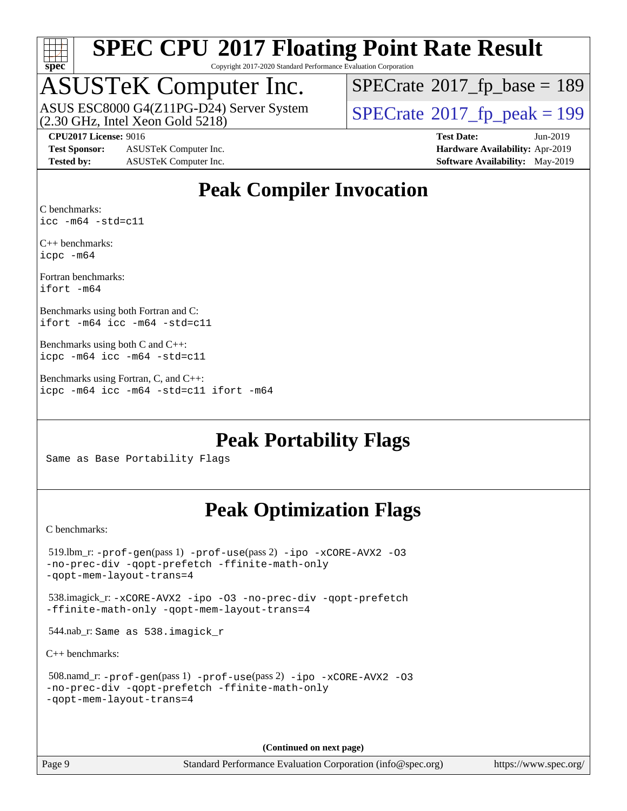

Copyright 2017-2020 Standard Performance Evaluation Corporation

# ASUSTeK Computer Inc.<br>ASUS ESC8000 G4(Z11PG-D24) Server System

(2.30 GHz, Intel Xeon Gold 5218)

 $SPECTate$ <sup>®</sup>[2017\\_fp\\_base =](http://www.spec.org/auto/cpu2017/Docs/result-fields.html#SPECrate2017fpbase) 189

**[Test Sponsor:](http://www.spec.org/auto/cpu2017/Docs/result-fields.html#TestSponsor)** ASUSTeK Computer Inc. **[Hardware Availability:](http://www.spec.org/auto/cpu2017/Docs/result-fields.html#HardwareAvailability)** Apr-2019 **[Tested by:](http://www.spec.org/auto/cpu2017/Docs/result-fields.html#Testedby)** ASUSTeK Computer Inc. **[Software Availability:](http://www.spec.org/auto/cpu2017/Docs/result-fields.html#SoftwareAvailability)** May-2019

 $SPECTate<sup>®</sup>2017_fp_peak = 199$  $SPECTate<sup>®</sup>2017_fp_peak = 199$  $SPECTate<sup>®</sup>2017_fp_peak = 199$ 

**[CPU2017 License:](http://www.spec.org/auto/cpu2017/Docs/result-fields.html#CPU2017License)** 9016 **[Test Date:](http://www.spec.org/auto/cpu2017/Docs/result-fields.html#TestDate)** Jun-2019

### **[Peak Compiler Invocation](http://www.spec.org/auto/cpu2017/Docs/result-fields.html#PeakCompilerInvocation)**

[C benchmarks](http://www.spec.org/auto/cpu2017/Docs/result-fields.html#Cbenchmarks): [icc -m64 -std=c11](http://www.spec.org/cpu2017/results/res2019q3/cpu2017-20190722-16298.flags.html#user_CCpeak_intel_icc_64bit_c11_33ee0cdaae7deeeab2a9725423ba97205ce30f63b9926c2519791662299b76a0318f32ddfffdc46587804de3178b4f9328c46fa7c2b0cd779d7a61945c91cd35)

[C++ benchmarks:](http://www.spec.org/auto/cpu2017/Docs/result-fields.html#CXXbenchmarks) [icpc -m64](http://www.spec.org/cpu2017/results/res2019q3/cpu2017-20190722-16298.flags.html#user_CXXpeak_intel_icpc_64bit_4ecb2543ae3f1412ef961e0650ca070fec7b7afdcd6ed48761b84423119d1bf6bdf5cad15b44d48e7256388bc77273b966e5eb805aefd121eb22e9299b2ec9d9)

[Fortran benchmarks](http://www.spec.org/auto/cpu2017/Docs/result-fields.html#Fortranbenchmarks): [ifort -m64](http://www.spec.org/cpu2017/results/res2019q3/cpu2017-20190722-16298.flags.html#user_FCpeak_intel_ifort_64bit_24f2bb282fbaeffd6157abe4f878425411749daecae9a33200eee2bee2fe76f3b89351d69a8130dd5949958ce389cf37ff59a95e7a40d588e8d3a57e0c3fd751)

[Benchmarks using both Fortran and C](http://www.spec.org/auto/cpu2017/Docs/result-fields.html#BenchmarksusingbothFortranandC): [ifort -m64](http://www.spec.org/cpu2017/results/res2019q3/cpu2017-20190722-16298.flags.html#user_CC_FCpeak_intel_ifort_64bit_24f2bb282fbaeffd6157abe4f878425411749daecae9a33200eee2bee2fe76f3b89351d69a8130dd5949958ce389cf37ff59a95e7a40d588e8d3a57e0c3fd751) [icc -m64 -std=c11](http://www.spec.org/cpu2017/results/res2019q3/cpu2017-20190722-16298.flags.html#user_CC_FCpeak_intel_icc_64bit_c11_33ee0cdaae7deeeab2a9725423ba97205ce30f63b9926c2519791662299b76a0318f32ddfffdc46587804de3178b4f9328c46fa7c2b0cd779d7a61945c91cd35)

```
Benchmarks using both C and C++: 
icpc -m64 icc -m64 -std=c11
```
[Benchmarks using Fortran, C, and C++:](http://www.spec.org/auto/cpu2017/Docs/result-fields.html#BenchmarksusingFortranCandCXX) [icpc -m64](http://www.spec.org/cpu2017/results/res2019q3/cpu2017-20190722-16298.flags.html#user_CC_CXX_FCpeak_intel_icpc_64bit_4ecb2543ae3f1412ef961e0650ca070fec7b7afdcd6ed48761b84423119d1bf6bdf5cad15b44d48e7256388bc77273b966e5eb805aefd121eb22e9299b2ec9d9) [icc -m64 -std=c11](http://www.spec.org/cpu2017/results/res2019q3/cpu2017-20190722-16298.flags.html#user_CC_CXX_FCpeak_intel_icc_64bit_c11_33ee0cdaae7deeeab2a9725423ba97205ce30f63b9926c2519791662299b76a0318f32ddfffdc46587804de3178b4f9328c46fa7c2b0cd779d7a61945c91cd35) [ifort -m64](http://www.spec.org/cpu2017/results/res2019q3/cpu2017-20190722-16298.flags.html#user_CC_CXX_FCpeak_intel_ifort_64bit_24f2bb282fbaeffd6157abe4f878425411749daecae9a33200eee2bee2fe76f3b89351d69a8130dd5949958ce389cf37ff59a95e7a40d588e8d3a57e0c3fd751)

**[Peak Portability Flags](http://www.spec.org/auto/cpu2017/Docs/result-fields.html#PeakPortabilityFlags)**

Same as Base Portability Flags

#### **[Peak Optimization Flags](http://www.spec.org/auto/cpu2017/Docs/result-fields.html#PeakOptimizationFlags)**

[C benchmarks](http://www.spec.org/auto/cpu2017/Docs/result-fields.html#Cbenchmarks):

```
 519.lbm_r: -prof-gen(pass 1) -prof-use(pass 2) -ipo -xCORE-AVX2 -O3
-no-prec-div -qopt-prefetch -ffinite-math-only
-qopt-mem-layout-trans=4
 538.imagick_r: -xCORE-AVX2 -ipo -O3 -no-prec-div -qopt-prefetch
-ffinite-math-only -qopt-mem-layout-trans=4
 544.nab_r: Same as 538.imagick_r
C++ benchmarks: 
 508.namd_r: -prof-gen(pass 1) -prof-use(pass 2) -ipo -xCORE-AVX2 -O3
-no-prec-div -qopt-prefetch -ffinite-math-only
-qopt-mem-layout-trans=4
```
**(Continued on next page)**

Page 9 Standard Performance Evaluation Corporation [\(info@spec.org\)](mailto:info@spec.org) <https://www.spec.org/>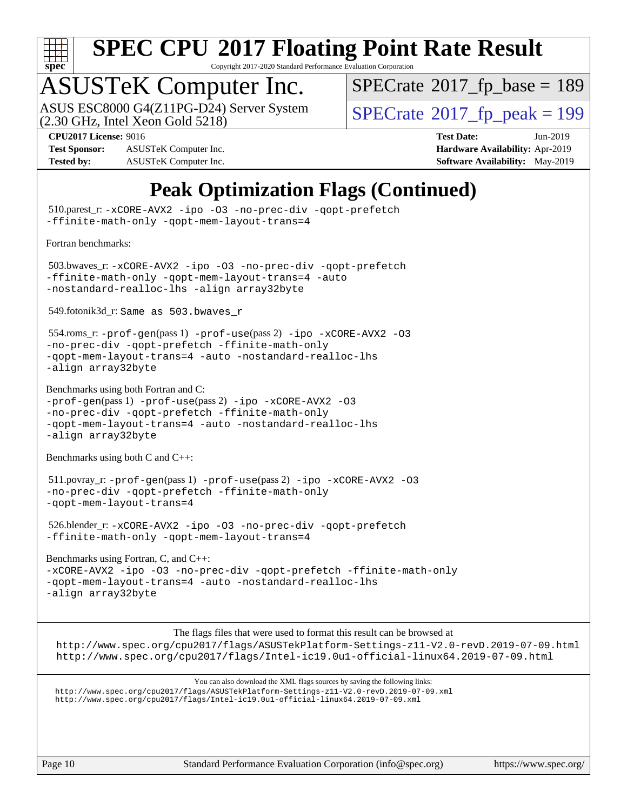

Copyright 2017-2020 Standard Performance Evaluation Corporation

# ASUSTeK Computer Inc.<br>ASUS ESC8000 G4(Z11PG-D24) Server System

(2.30 GHz, Intel Xeon Gold 5218)

 $SPECTate$ <sup>®</sup>[2017\\_fp\\_base =](http://www.spec.org/auto/cpu2017/Docs/result-fields.html#SPECrate2017fpbase) 189

**[Test Sponsor:](http://www.spec.org/auto/cpu2017/Docs/result-fields.html#TestSponsor)** ASUSTeK Computer Inc. **[Hardware Availability:](http://www.spec.org/auto/cpu2017/Docs/result-fields.html#HardwareAvailability)** Apr-2019 **[Tested by:](http://www.spec.org/auto/cpu2017/Docs/result-fields.html#Testedby)** ASUSTeK Computer Inc. **[Software Availability:](http://www.spec.org/auto/cpu2017/Docs/result-fields.html#SoftwareAvailability)** May-2019

 $SPECTate<sup>®</sup>2017<sub>fr</sub>peak = 199$ **[CPU2017 License:](http://www.spec.org/auto/cpu2017/Docs/result-fields.html#CPU2017License)** 9016 **[Test Date:](http://www.spec.org/auto/cpu2017/Docs/result-fields.html#TestDate)** Jun-2019

**[Peak Optimization Flags \(Continued\)](http://www.spec.org/auto/cpu2017/Docs/result-fields.html#PeakOptimizationFlags)**

 510.parest\_r: [-xCORE-AVX2](http://www.spec.org/cpu2017/results/res2019q3/cpu2017-20190722-16298.flags.html#user_peakCXXOPTIMIZE510_parest_r_f-xCORE-AVX2) [-ipo](http://www.spec.org/cpu2017/results/res2019q3/cpu2017-20190722-16298.flags.html#user_peakCXXOPTIMIZE510_parest_r_f-ipo) [-O3](http://www.spec.org/cpu2017/results/res2019q3/cpu2017-20190722-16298.flags.html#user_peakCXXOPTIMIZE510_parest_r_f-O3) [-no-prec-div](http://www.spec.org/cpu2017/results/res2019q3/cpu2017-20190722-16298.flags.html#user_peakCXXOPTIMIZE510_parest_r_f-no-prec-div) [-qopt-prefetch](http://www.spec.org/cpu2017/results/res2019q3/cpu2017-20190722-16298.flags.html#user_peakCXXOPTIMIZE510_parest_r_f-qopt-prefetch) [-ffinite-math-only](http://www.spec.org/cpu2017/results/res2019q3/cpu2017-20190722-16298.flags.html#user_peakCXXOPTIMIZE510_parest_r_f_finite_math_only_cb91587bd2077682c4b38af759c288ed7c732db004271a9512da14a4f8007909a5f1427ecbf1a0fb78ff2a814402c6114ac565ca162485bbcae155b5e4258871) [-qopt-mem-layout-trans=4](http://www.spec.org/cpu2017/results/res2019q3/cpu2017-20190722-16298.flags.html#user_peakCXXOPTIMIZE510_parest_r_f-qopt-mem-layout-trans_fa39e755916c150a61361b7846f310bcdf6f04e385ef281cadf3647acec3f0ae266d1a1d22d972a7087a248fd4e6ca390a3634700869573d231a252c784941a8) [Fortran benchmarks](http://www.spec.org/auto/cpu2017/Docs/result-fields.html#Fortranbenchmarks): 503.bwaves\_r: [-xCORE-AVX2](http://www.spec.org/cpu2017/results/res2019q3/cpu2017-20190722-16298.flags.html#user_peakFOPTIMIZE503_bwaves_r_f-xCORE-AVX2) [-ipo](http://www.spec.org/cpu2017/results/res2019q3/cpu2017-20190722-16298.flags.html#user_peakFOPTIMIZE503_bwaves_r_f-ipo) [-O3](http://www.spec.org/cpu2017/results/res2019q3/cpu2017-20190722-16298.flags.html#user_peakFOPTIMIZE503_bwaves_r_f-O3) [-no-prec-div](http://www.spec.org/cpu2017/results/res2019q3/cpu2017-20190722-16298.flags.html#user_peakFOPTIMIZE503_bwaves_r_f-no-prec-div) [-qopt-prefetch](http://www.spec.org/cpu2017/results/res2019q3/cpu2017-20190722-16298.flags.html#user_peakFOPTIMIZE503_bwaves_r_f-qopt-prefetch) [-ffinite-math-only](http://www.spec.org/cpu2017/results/res2019q3/cpu2017-20190722-16298.flags.html#user_peakFOPTIMIZE503_bwaves_r_f_finite_math_only_cb91587bd2077682c4b38af759c288ed7c732db004271a9512da14a4f8007909a5f1427ecbf1a0fb78ff2a814402c6114ac565ca162485bbcae155b5e4258871) [-qopt-mem-layout-trans=4](http://www.spec.org/cpu2017/results/res2019q3/cpu2017-20190722-16298.flags.html#user_peakFOPTIMIZE503_bwaves_r_f-qopt-mem-layout-trans_fa39e755916c150a61361b7846f310bcdf6f04e385ef281cadf3647acec3f0ae266d1a1d22d972a7087a248fd4e6ca390a3634700869573d231a252c784941a8) [-auto](http://www.spec.org/cpu2017/results/res2019q3/cpu2017-20190722-16298.flags.html#user_peakFOPTIMIZE503_bwaves_r_f-auto) [-nostandard-realloc-lhs](http://www.spec.org/cpu2017/results/res2019q3/cpu2017-20190722-16298.flags.html#user_peakEXTRA_FOPTIMIZE503_bwaves_r_f_2003_std_realloc_82b4557e90729c0f113870c07e44d33d6f5a304b4f63d4c15d2d0f1fab99f5daaed73bdb9275d9ae411527f28b936061aa8b9c8f2d63842963b95c9dd6426b8a) [-align array32byte](http://www.spec.org/cpu2017/results/res2019q3/cpu2017-20190722-16298.flags.html#user_peakEXTRA_FOPTIMIZE503_bwaves_r_align_array32byte_b982fe038af199962ba9a80c053b8342c548c85b40b8e86eb3cc33dee0d7986a4af373ac2d51c3f7cf710a18d62fdce2948f201cd044323541f22fc0fffc51b6) 549.fotonik3d\_r: Same as 503.bwaves\_r 554.roms\_r: [-prof-gen](http://www.spec.org/cpu2017/results/res2019q3/cpu2017-20190722-16298.flags.html#user_peakPASS1_FFLAGSPASS1_LDFLAGS554_roms_r_prof_gen_5aa4926d6013ddb2a31985c654b3eb18169fc0c6952a63635c234f711e6e63dd76e94ad52365559451ec499a2cdb89e4dc58ba4c67ef54ca681ffbe1461d6b36)(pass 1) [-prof-use](http://www.spec.org/cpu2017/results/res2019q3/cpu2017-20190722-16298.flags.html#user_peakPASS2_FFLAGSPASS2_LDFLAGS554_roms_r_prof_use_1a21ceae95f36a2b53c25747139a6c16ca95bd9def2a207b4f0849963b97e94f5260e30a0c64f4bb623698870e679ca08317ef8150905d41bd88c6f78df73f19)(pass 2) [-ipo](http://www.spec.org/cpu2017/results/res2019q3/cpu2017-20190722-16298.flags.html#user_peakPASS1_FOPTIMIZEPASS2_FOPTIMIZE554_roms_r_f-ipo) [-xCORE-AVX2](http://www.spec.org/cpu2017/results/res2019q3/cpu2017-20190722-16298.flags.html#user_peakPASS2_FOPTIMIZE554_roms_r_f-xCORE-AVX2) [-O3](http://www.spec.org/cpu2017/results/res2019q3/cpu2017-20190722-16298.flags.html#user_peakPASS1_FOPTIMIZEPASS2_FOPTIMIZE554_roms_r_f-O3) [-no-prec-div](http://www.spec.org/cpu2017/results/res2019q3/cpu2017-20190722-16298.flags.html#user_peakPASS1_FOPTIMIZEPASS2_FOPTIMIZE554_roms_r_f-no-prec-div) [-qopt-prefetch](http://www.spec.org/cpu2017/results/res2019q3/cpu2017-20190722-16298.flags.html#user_peakPASS1_FOPTIMIZEPASS2_FOPTIMIZE554_roms_r_f-qopt-prefetch) [-ffinite-math-only](http://www.spec.org/cpu2017/results/res2019q3/cpu2017-20190722-16298.flags.html#user_peakPASS1_FOPTIMIZEPASS2_FOPTIMIZE554_roms_r_f_finite_math_only_cb91587bd2077682c4b38af759c288ed7c732db004271a9512da14a4f8007909a5f1427ecbf1a0fb78ff2a814402c6114ac565ca162485bbcae155b5e4258871) [-qopt-mem-layout-trans=4](http://www.spec.org/cpu2017/results/res2019q3/cpu2017-20190722-16298.flags.html#user_peakPASS1_FOPTIMIZEPASS2_FOPTIMIZE554_roms_r_f-qopt-mem-layout-trans_fa39e755916c150a61361b7846f310bcdf6f04e385ef281cadf3647acec3f0ae266d1a1d22d972a7087a248fd4e6ca390a3634700869573d231a252c784941a8) [-auto](http://www.spec.org/cpu2017/results/res2019q3/cpu2017-20190722-16298.flags.html#user_peakPASS2_FOPTIMIZE554_roms_r_f-auto) [-nostandard-realloc-lhs](http://www.spec.org/cpu2017/results/res2019q3/cpu2017-20190722-16298.flags.html#user_peakEXTRA_FOPTIMIZE554_roms_r_f_2003_std_realloc_82b4557e90729c0f113870c07e44d33d6f5a304b4f63d4c15d2d0f1fab99f5daaed73bdb9275d9ae411527f28b936061aa8b9c8f2d63842963b95c9dd6426b8a) [-align array32byte](http://www.spec.org/cpu2017/results/res2019q3/cpu2017-20190722-16298.flags.html#user_peakEXTRA_FOPTIMIZE554_roms_r_align_array32byte_b982fe038af199962ba9a80c053b8342c548c85b40b8e86eb3cc33dee0d7986a4af373ac2d51c3f7cf710a18d62fdce2948f201cd044323541f22fc0fffc51b6) [Benchmarks using both Fortran and C](http://www.spec.org/auto/cpu2017/Docs/result-fields.html#BenchmarksusingbothFortranandC): [-prof-gen](http://www.spec.org/cpu2017/results/res2019q3/cpu2017-20190722-16298.flags.html#user_CC_FCpeak_prof_gen_5aa4926d6013ddb2a31985c654b3eb18169fc0c6952a63635c234f711e6e63dd76e94ad52365559451ec499a2cdb89e4dc58ba4c67ef54ca681ffbe1461d6b36)(pass 1) [-prof-use](http://www.spec.org/cpu2017/results/res2019q3/cpu2017-20190722-16298.flags.html#user_CC_FCpeak_prof_use_1a21ceae95f36a2b53c25747139a6c16ca95bd9def2a207b4f0849963b97e94f5260e30a0c64f4bb623698870e679ca08317ef8150905d41bd88c6f78df73f19)(pass 2) [-ipo](http://www.spec.org/cpu2017/results/res2019q3/cpu2017-20190722-16298.flags.html#user_CC_FCpeak_f-ipo) [-xCORE-AVX2](http://www.spec.org/cpu2017/results/res2019q3/cpu2017-20190722-16298.flags.html#user_CC_FCpeak_f-xCORE-AVX2) [-O3](http://www.spec.org/cpu2017/results/res2019q3/cpu2017-20190722-16298.flags.html#user_CC_FCpeak_f-O3) [-no-prec-div](http://www.spec.org/cpu2017/results/res2019q3/cpu2017-20190722-16298.flags.html#user_CC_FCpeak_f-no-prec-div) [-qopt-prefetch](http://www.spec.org/cpu2017/results/res2019q3/cpu2017-20190722-16298.flags.html#user_CC_FCpeak_f-qopt-prefetch) [-ffinite-math-only](http://www.spec.org/cpu2017/results/res2019q3/cpu2017-20190722-16298.flags.html#user_CC_FCpeak_f_finite_math_only_cb91587bd2077682c4b38af759c288ed7c732db004271a9512da14a4f8007909a5f1427ecbf1a0fb78ff2a814402c6114ac565ca162485bbcae155b5e4258871) [-qopt-mem-layout-trans=4](http://www.spec.org/cpu2017/results/res2019q3/cpu2017-20190722-16298.flags.html#user_CC_FCpeak_f-qopt-mem-layout-trans_fa39e755916c150a61361b7846f310bcdf6f04e385ef281cadf3647acec3f0ae266d1a1d22d972a7087a248fd4e6ca390a3634700869573d231a252c784941a8) [-auto](http://www.spec.org/cpu2017/results/res2019q3/cpu2017-20190722-16298.flags.html#user_CC_FCpeak_f-auto) [-nostandard-realloc-lhs](http://www.spec.org/cpu2017/results/res2019q3/cpu2017-20190722-16298.flags.html#user_CC_FCpeak_f_2003_std_realloc_82b4557e90729c0f113870c07e44d33d6f5a304b4f63d4c15d2d0f1fab99f5daaed73bdb9275d9ae411527f28b936061aa8b9c8f2d63842963b95c9dd6426b8a) [-align array32byte](http://www.spec.org/cpu2017/results/res2019q3/cpu2017-20190722-16298.flags.html#user_CC_FCpeak_align_array32byte_b982fe038af199962ba9a80c053b8342c548c85b40b8e86eb3cc33dee0d7986a4af373ac2d51c3f7cf710a18d62fdce2948f201cd044323541f22fc0fffc51b6) [Benchmarks using both C and C++](http://www.spec.org/auto/cpu2017/Docs/result-fields.html#BenchmarksusingbothCandCXX): 511.povray\_r: [-prof-gen](http://www.spec.org/cpu2017/results/res2019q3/cpu2017-20190722-16298.flags.html#user_peakPASS1_CFLAGSPASS1_CXXFLAGSPASS1_LDFLAGS511_povray_r_prof_gen_5aa4926d6013ddb2a31985c654b3eb18169fc0c6952a63635c234f711e6e63dd76e94ad52365559451ec499a2cdb89e4dc58ba4c67ef54ca681ffbe1461d6b36)(pass 1) [-prof-use](http://www.spec.org/cpu2017/results/res2019q3/cpu2017-20190722-16298.flags.html#user_peakPASS2_CFLAGSPASS2_CXXFLAGSPASS2_LDFLAGS511_povray_r_prof_use_1a21ceae95f36a2b53c25747139a6c16ca95bd9def2a207b4f0849963b97e94f5260e30a0c64f4bb623698870e679ca08317ef8150905d41bd88c6f78df73f19)(pass 2) [-ipo](http://www.spec.org/cpu2017/results/res2019q3/cpu2017-20190722-16298.flags.html#user_peakPASS1_COPTIMIZEPASS1_CXXOPTIMIZEPASS2_COPTIMIZEPASS2_CXXOPTIMIZE511_povray_r_f-ipo) [-xCORE-AVX2](http://www.spec.org/cpu2017/results/res2019q3/cpu2017-20190722-16298.flags.html#user_peakPASS2_COPTIMIZEPASS2_CXXOPTIMIZE511_povray_r_f-xCORE-AVX2) [-O3](http://www.spec.org/cpu2017/results/res2019q3/cpu2017-20190722-16298.flags.html#user_peakPASS1_COPTIMIZEPASS1_CXXOPTIMIZEPASS2_COPTIMIZEPASS2_CXXOPTIMIZE511_povray_r_f-O3) [-no-prec-div](http://www.spec.org/cpu2017/results/res2019q3/cpu2017-20190722-16298.flags.html#user_peakPASS1_COPTIMIZEPASS1_CXXOPTIMIZEPASS2_COPTIMIZEPASS2_CXXOPTIMIZE511_povray_r_f-no-prec-div) [-qopt-prefetch](http://www.spec.org/cpu2017/results/res2019q3/cpu2017-20190722-16298.flags.html#user_peakPASS1_COPTIMIZEPASS1_CXXOPTIMIZEPASS2_COPTIMIZEPASS2_CXXOPTIMIZE511_povray_r_f-qopt-prefetch) [-ffinite-math-only](http://www.spec.org/cpu2017/results/res2019q3/cpu2017-20190722-16298.flags.html#user_peakPASS1_COPTIMIZEPASS1_CXXOPTIMIZEPASS2_COPTIMIZEPASS2_CXXOPTIMIZE511_povray_r_f_finite_math_only_cb91587bd2077682c4b38af759c288ed7c732db004271a9512da14a4f8007909a5f1427ecbf1a0fb78ff2a814402c6114ac565ca162485bbcae155b5e4258871) [-qopt-mem-layout-trans=4](http://www.spec.org/cpu2017/results/res2019q3/cpu2017-20190722-16298.flags.html#user_peakPASS1_COPTIMIZEPASS1_CXXOPTIMIZEPASS2_COPTIMIZEPASS2_CXXOPTIMIZE511_povray_r_f-qopt-mem-layout-trans_fa39e755916c150a61361b7846f310bcdf6f04e385ef281cadf3647acec3f0ae266d1a1d22d972a7087a248fd4e6ca390a3634700869573d231a252c784941a8) 526.blender\_r: [-xCORE-AVX2](http://www.spec.org/cpu2017/results/res2019q3/cpu2017-20190722-16298.flags.html#user_peakCOPTIMIZECXXOPTIMIZE526_blender_r_f-xCORE-AVX2) [-ipo](http://www.spec.org/cpu2017/results/res2019q3/cpu2017-20190722-16298.flags.html#user_peakCOPTIMIZECXXOPTIMIZE526_blender_r_f-ipo) [-O3](http://www.spec.org/cpu2017/results/res2019q3/cpu2017-20190722-16298.flags.html#user_peakCOPTIMIZECXXOPTIMIZE526_blender_r_f-O3) [-no-prec-div](http://www.spec.org/cpu2017/results/res2019q3/cpu2017-20190722-16298.flags.html#user_peakCOPTIMIZECXXOPTIMIZE526_blender_r_f-no-prec-div) [-qopt-prefetch](http://www.spec.org/cpu2017/results/res2019q3/cpu2017-20190722-16298.flags.html#user_peakCOPTIMIZECXXOPTIMIZE526_blender_r_f-qopt-prefetch) [-ffinite-math-only](http://www.spec.org/cpu2017/results/res2019q3/cpu2017-20190722-16298.flags.html#user_peakCOPTIMIZECXXOPTIMIZE526_blender_r_f_finite_math_only_cb91587bd2077682c4b38af759c288ed7c732db004271a9512da14a4f8007909a5f1427ecbf1a0fb78ff2a814402c6114ac565ca162485bbcae155b5e4258871) [-qopt-mem-layout-trans=4](http://www.spec.org/cpu2017/results/res2019q3/cpu2017-20190722-16298.flags.html#user_peakCOPTIMIZECXXOPTIMIZE526_blender_r_f-qopt-mem-layout-trans_fa39e755916c150a61361b7846f310bcdf6f04e385ef281cadf3647acec3f0ae266d1a1d22d972a7087a248fd4e6ca390a3634700869573d231a252c784941a8) [Benchmarks using Fortran, C, and C++:](http://www.spec.org/auto/cpu2017/Docs/result-fields.html#BenchmarksusingFortranCandCXX) [-xCORE-AVX2](http://www.spec.org/cpu2017/results/res2019q3/cpu2017-20190722-16298.flags.html#user_CC_CXX_FCpeak_f-xCORE-AVX2) [-ipo](http://www.spec.org/cpu2017/results/res2019q3/cpu2017-20190722-16298.flags.html#user_CC_CXX_FCpeak_f-ipo) [-O3](http://www.spec.org/cpu2017/results/res2019q3/cpu2017-20190722-16298.flags.html#user_CC_CXX_FCpeak_f-O3) [-no-prec-div](http://www.spec.org/cpu2017/results/res2019q3/cpu2017-20190722-16298.flags.html#user_CC_CXX_FCpeak_f-no-prec-div) [-qopt-prefetch](http://www.spec.org/cpu2017/results/res2019q3/cpu2017-20190722-16298.flags.html#user_CC_CXX_FCpeak_f-qopt-prefetch) [-ffinite-math-only](http://www.spec.org/cpu2017/results/res2019q3/cpu2017-20190722-16298.flags.html#user_CC_CXX_FCpeak_f_finite_math_only_cb91587bd2077682c4b38af759c288ed7c732db004271a9512da14a4f8007909a5f1427ecbf1a0fb78ff2a814402c6114ac565ca162485bbcae155b5e4258871) [-qopt-mem-layout-trans=4](http://www.spec.org/cpu2017/results/res2019q3/cpu2017-20190722-16298.flags.html#user_CC_CXX_FCpeak_f-qopt-mem-layout-trans_fa39e755916c150a61361b7846f310bcdf6f04e385ef281cadf3647acec3f0ae266d1a1d22d972a7087a248fd4e6ca390a3634700869573d231a252c784941a8) [-auto](http://www.spec.org/cpu2017/results/res2019q3/cpu2017-20190722-16298.flags.html#user_CC_CXX_FCpeak_f-auto) [-nostandard-realloc-lhs](http://www.spec.org/cpu2017/results/res2019q3/cpu2017-20190722-16298.flags.html#user_CC_CXX_FCpeak_f_2003_std_realloc_82b4557e90729c0f113870c07e44d33d6f5a304b4f63d4c15d2d0f1fab99f5daaed73bdb9275d9ae411527f28b936061aa8b9c8f2d63842963b95c9dd6426b8a) [-align array32byte](http://www.spec.org/cpu2017/results/res2019q3/cpu2017-20190722-16298.flags.html#user_CC_CXX_FCpeak_align_array32byte_b982fe038af199962ba9a80c053b8342c548c85b40b8e86eb3cc33dee0d7986a4af373ac2d51c3f7cf710a18d62fdce2948f201cd044323541f22fc0fffc51b6) [The flags files that were used to format this result can be browsed at](tmsearch) <http://www.spec.org/cpu2017/flags/ASUSTekPlatform-Settings-z11-V2.0-revD.2019-07-09.html> <http://www.spec.org/cpu2017/flags/Intel-ic19.0u1-official-linux64.2019-07-09.html> [You can also download the XML flags sources by saving the following links:](tmsearch) <http://www.spec.org/cpu2017/flags/ASUSTekPlatform-Settings-z11-V2.0-revD.2019-07-09.xml> <http://www.spec.org/cpu2017/flags/Intel-ic19.0u1-official-linux64.2019-07-09.xml>